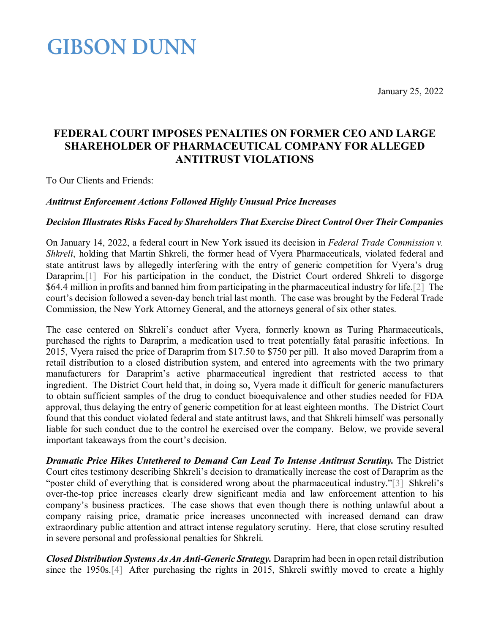<span id="page-0-2"></span>January 25, 2022

## **GIBSON DUNN**

### **FEDERAL COURT IMPOSES PENALTIES ON FORMER CEO AND LARGE SHAREHOLDER OF PHARMACEUTICAL COMPANY FOR ALLEGED ANTITRUST VIOLATIONS**

<span id="page-0-0"></span>To Our Clients and Friends:

#### *Antitrust Enforcement Actions Followed Highly Unusual Price Increases*

#### *Decision Illustrates Risks Faced by Shareholders That Exercise Direct Control Over Their Companies*

<span id="page-0-1"></span>On January 14, 2022, a federal court in New York issued its decision in *Federal Trade Commission v. Shkreli*, holding that Martin Shkreli, the former head of Vyera Pharmaceuticals, violated federal and state antitrust laws by allegedly interfering with the entry of generic competition for Vyera's drug Daraprim.<sup>[1]</sup> For his participation in the conduct, the District Court ordered Shkreli to disgorge \$64.4 million in profits and banned him from participating in the pharmaceutical industry for life[.\[2\]](#page-2-1) The court's decision followed a seven-day bench trial last month. The case was brought by the Federal Trade Commission, the New York Attorney General, and the attorneys general of six other states.

The case centered on Shkreli's conduct after Vyera, formerly known as Turing Pharmaceuticals, purchased the rights to Daraprim, a medication used to treat potentially fatal parasitic infections. In 2015, Vyera raised the price of Daraprim from \$17.50 to \$750 per pill. It also moved Daraprim from a retail distribution to a closed distribution system, and entered into agreements with the two primary manufacturers for Daraprim's active pharmaceutical ingredient that restricted access to that ingredient. The District Court held that, in doing so, Vyera made it difficult for generic manufacturers to obtain sufficient samples of the drug to conduct bioequivalence and other studies needed for FDA approval, thus delaying the entry of generic competition for at least eighteen months. The District Court found that this conduct violated federal and state antitrust laws, and that Shkreli himself was personally liable for such conduct due to the control he exercised over the company. Below, we provide several important takeaways from the court's decision.

<span id="page-0-3"></span>**Dramatic Price Hikes Untethered to Demand Can Lead To Intense Antitrust Scrutiny.** The District Court cites testimony describing Shkreli's decision to dramatically increase the cost of Daraprim as the "poster child of everything that is considered wrong about the pharmaceutical industry.["\[3\]](#page-2-2) Shkreli's over-the-top price increases clearly drew significant media and law enforcement attention to his company's business practices. The case shows that even though there is nothing unlawful about a company raising price, dramatic price increases unconnected with increased demand can draw extraordinary public attention and attract intense regulatory scrutiny. Here, that close scrutiny resulted in severe personal and professional penalties for Shkreli.

<span id="page-0-4"></span>*Closed Distribution Systems As An Anti-Generic Strategy.* Daraprim had been in open retail distribution since the 1950s[.\[4\]](#page-0-0) After purchasing the rights in 2015, Shkreli swiftly moved to create a highly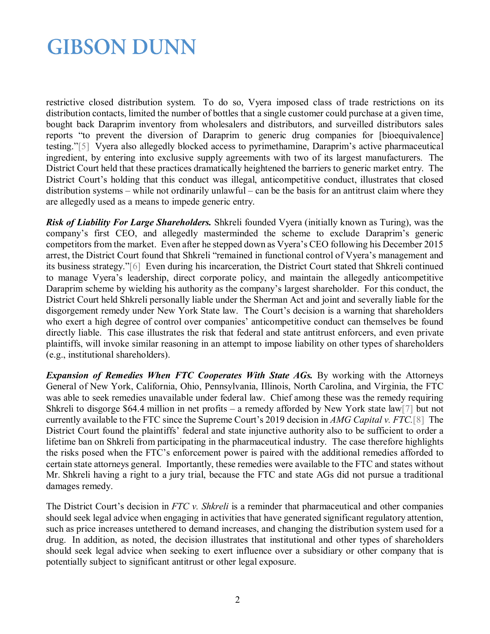## **GIBSON DUNN**

<span id="page-1-0"></span>restrictive closed distribution system. To do so, Vyera imposed class of trade restrictions on its distribution contacts, limited the number of bottles that a single customer could purchase at a given time, bought back Daraprim inventory from wholesalers and distributors, and surveilled distributors sales reports "to prevent the diversion of Daraprim to generic drug companies for [bioequivalence] testing.["\[5\]](#page-2-3) Vyera also allegedly blocked access to pyrimethamine, Daraprim's active pharmaceutical ingredient, by entering into exclusive supply agreements with two of its largest manufacturers. The District Court held that these practices dramatically heightened the barriers to generic market entry. The District Court's holding that this conduct was illegal, anticompetitive conduct, illustrates that closed distribution systems – while not ordinarily unlawful – can be the basis for an antitrust claim where they are allegedly used as a means to impede generic entry.

<span id="page-1-1"></span>*Risk of Liability For Large Shareholders.* Shkreli founded Vyera (initially known as Turing), was the company's first CEO, and allegedly masterminded the scheme to exclude Daraprim's generic competitors from the market. Even after he stepped down as Vyera's CEO following his December 2015 arrest, the District Court found that Shkreli "remained in functional control of Vyera's management and its business strategy.["\[6\]](#page-2-4) Even during his incarceration, the District Court stated that Shkreli continued to manage Vyera's leadership, direct corporate policy, and maintain the allegedly anticompetitive Daraprim scheme by wielding his authority as the company's largest shareholder. For this conduct, the District Court held Shkreli personally liable under the Sherman Act and joint and severally liable for the disgorgement remedy under New York State law. The Court's decision is a warning that shareholders who exert a high degree of control over companies' anticompetitive conduct can themselves be found directly liable. This case illustrates the risk that federal and state antitrust enforcers, and even private plaintiffs, will invoke similar reasoning in an attempt to impose liability on other types of shareholders (e.g., institutional shareholders).

<span id="page-1-3"></span><span id="page-1-2"></span>*Expansion of Remedies When FTC Cooperates With State AGs.* By working with the Attorneys General of New York, California, Ohio, Pennsylvania, Illinois, North Carolina, and Virginia, the FTC was able to seek remedies unavailable under federal law. Chief among these was the remedy requiring Shkreli to disgorge \$64.4 million in net profits – a remedy afforded by New York state la[w\[7\]](#page-2-5) but not currently available to the FTC since the Supreme Court's 2019 decision in *AMG Capital v. FTC.*[\[8\]](#page-2-6) The District Court found the plaintiffs' federal and state injunctive authority also to be sufficient to order a lifetime ban on Shkreli from participating in the pharmaceutical industry. The case therefore highlights the risks posed when the FTC's enforcement power is paired with the additional remedies afforded to certain state attorneys general. Importantly, these remedies were available to the FTC and states without Mr. Shkreli having a right to a jury trial, because the FTC and state AGs did not pursue a traditional damages remedy.

The District Court's decision in *FTC v. Shkreli* is a reminder that pharmaceutical and other companies should seek legal advice when engaging in activities that have generated significant regulatory attention, such as price increases untethered to demand increases, and changing the distribution system used for a drug. In addition, as noted, the decision illustrates that institutional and other types of shareholders should seek legal advice when seeking to exert influence over a subsidiary or other company that is potentially subject to significant antitrust or other legal exposure.